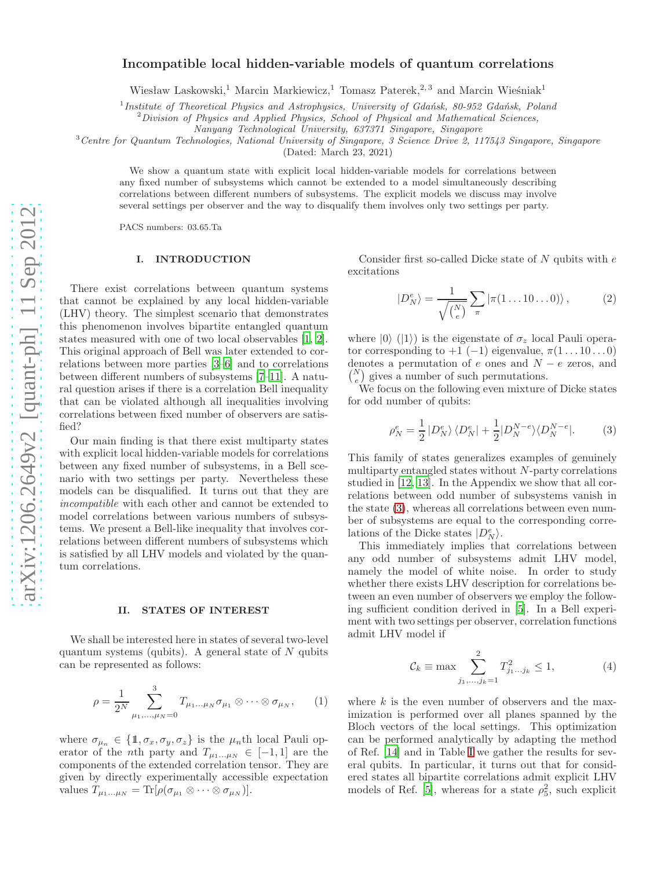## **Incompatible local hidden-variable models of quantum correlations**

Wiesław Laskowski,<sup>1</sup> Marcin Markiewicz,<sup>1</sup> Tomasz Paterek,<sup>2,3</sup> and Marcin Wieśniak<sup>1</sup>

<sup>1</sup> Institute of Theoretical Physics and Astrophysics, University of Gdańsk, 80-952 Gdańsk, Poland

<sup>2</sup>*Division of Physics and Applied Physics, School of Physical and Mathematical Sciences,*

*Nanyang Technological University, 637371 Singapore, Singapore*

<sup>3</sup>*Centre for Quantum Technologies, National University of Singapore, 3 Science Drive 2, 117543 Singapore, Singapore*

(Dated: March 23, 2021)

We show a quantum state with explicit local hidden-variable models for correlations between any fixed number of subsystems which cannot be extended to a model simultaneously describing correlations between different numbers of subsystems. The explicit models we discuss may involve several settings per observer and the way to disqualify them involves only two settings per party.

PACS numbers: 03.65.Ta

## **I. INTRODUCTION**

There exist correlations between quantum systems that cannot be explained by any local hidden-variable (LHV) theory. The simplest scenario that demonstrates this phenomenon involves bipartite entangled quantum states measured with one of two local observables [\[1](#page-2-0), [2\]](#page-2-1). This original approach of Bell was later extended to correlations between more parties [\[3](#page-2-2)[–6\]](#page-2-3) and to correlations between different numbers of subsystems [\[7](#page-2-4)[–11\]](#page-3-0). A natural question arises if there is a correlation Bell inequality that can be violated although all inequalities involving correlations between fixed number of observers are satisfied?

Our main finding is that there exist multiparty states with explicit local hidden-variable models for correlations between any fixed number of subsystems, in a Bell scenario with two settings per party. Nevertheless these models can be disqualified. It turns out that they are *incompatible* with each other and cannot be extended to model correlations between various numbers of subsystems. We present a Bell-like inequality that involves correlations between different numbers of subsystems which is satisfied by all LHV models and violated by the quantum correlations.

#### **II. STATES OF INTEREST**

We shall be interested here in states of several two-level quantum systems (qubits). A general state of  $N$  qubits can be represented as follows:

$$
\rho = \frac{1}{2^N} \sum_{\mu_1, ..., \mu_N = 0}^{3} T_{\mu_1 ... \mu_N} \sigma_{\mu_1} \otimes \cdots \otimes \sigma_{\mu_N}, \qquad (1)
$$

where  $\sigma_{\mu_n} \in \{1, \sigma_x, \sigma_y, \sigma_z\}$  is the  $\mu_n$ th local Pauli operator of the *n*th party and  $T_{\mu_1...\mu_N} \in [-1,1]$  are the components of the extended correlation tensor. They are given by directly experimentally accessible expectation values  $T_{\mu_1...\mu_N} = \text{Tr}[\rho(\sigma_{\mu_1} \otimes \cdots \otimes \sigma_{\mu_N})].$ 

Consider first so-called Dicke state of  $N$  qubits with  $e$ excitations

$$
|D_N^e\rangle = \frac{1}{\sqrt{\binom{N}{e}}} \sum_{\pi} |\pi(1 \dots 10 \dots 0)\rangle, \qquad (2)
$$

where  $|0\rangle$  ( $|1\rangle$ ) is the eigenstate of  $\sigma_z$  local Pauli operator corresponding to  $+1$  (-1) eigenvalue,  $\pi(1 \dots 10 \dots 0)$ denotes a permutation of  $e$  ones and  $N - e$  zeros, and  $\binom{N}{e}$  gives a number of such permutations.

We focus on the following even mixture of Dicke states for odd number of qubits:

<span id="page-0-0"></span>
$$
\rho_N^e = \frac{1}{2} |D_N^e\rangle \langle D_N^e| + \frac{1}{2} |D_N^{N-e}\rangle \langle D_N^{N-e}|.
$$
 (3)

This family of states generalizes examples of genuinely multiparty entangled states without N-party correlations studied in [\[12](#page-3-1), [13](#page-3-2)]. In the Appendix we show that all correlations between odd number of subsystems vanish in the state [\(3\)](#page-0-0), whereas all correlations between even number of subsystems are equal to the corresponding correlations of the Dicke states  $|D_N^e\rangle$ .

This immediately implies that correlations between any odd number of subsystems admit LHV model, namely the model of white noise. In order to study whether there exists LHV description for correlations between an even number of observers we employ the following sufficient condition derived in [\[5\]](#page-2-5). In a Bell experiment with two settings per observer, correlation functions admit LHV model if

<span id="page-0-1"></span>
$$
\mathcal{C}_k \equiv \max \sum_{j_1, ..., j_k=1}^2 T_{j_1...j_k}^2 \le 1,
$$
 (4)

where  $k$  is the even number of observers and the maximization is performed over all planes spanned by the Bloch vectors of the local settings. This optimization can be performed analytically by adapting the method of Ref. [\[14](#page-3-3)] and in Table [I](#page-1-0) we gather the results for several qubits. In particular, it turns out that for considered states all bipartite correlations admit explicit LHV models of Ref. [\[5\]](#page-2-5), whereas for a state  $\rho_5^2$ , such explicit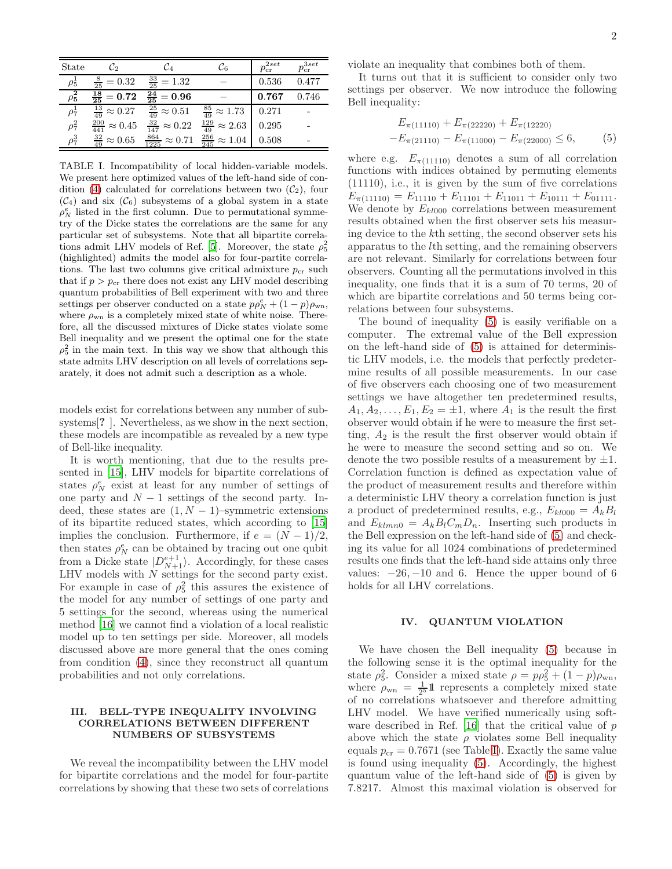| State      | $\mathcal{C}_2$                | Cа                              | Ľ6                                                            | $p_{cr}^{2set}$ | $p_{\rm cr}^{3set}$ |
|------------|--------------------------------|---------------------------------|---------------------------------------------------------------|-----------------|---------------------|
| $\rho_5^1$ | $\frac{8}{25} = 0.32$          | $\frac{33}{25} = 1.32$          |                                                               | 0.536           | 0.477               |
| $\rho_5^2$ | $\frac{18}{25}=0.72$           | $\overline{\frac{24}{25}}=0.96$ |                                                               | 0.767           | 0.746               |
| $\rho_7^1$ | $\frac{13}{49} \approx 0.27$   | $\frac{25}{49} \approx 0.51$    | $\frac{85}{49} \approx 1.73$<br>$\frac{129}{49} \approx 2.63$ | 0.271           |                     |
| $\rho_7^2$ | $\frac{200}{441} \approx 0.45$ | $\frac{32}{147} \approx 0.22$   |                                                               | 0.295           |                     |
| $\rho_7^3$ | $\frac{32}{49} \approx 0.65$   | $\frac{864}{1225} \approx 0.71$ | $\frac{256}{245} \approx 1.04$                                | 0.508           |                     |

<span id="page-1-0"></span>TABLE I. Incompatibility of local hidden-variable models. We present here optimized values of the left-hand side of con-dition [\(4\)](#page-0-1) calculated for correlations between two  $(\mathcal{C}_2)$ , four  $(\mathcal{C}_4)$  and six  $(\mathcal{C}_6)$  subsystems of a global system in a state  $\rho_N^e$  listed in the first column. Due to permutational symmetry of the Dicke states the correlations are the same for any particular set of subsystems. Note that all bipartite correla-tions admit LHV models of Ref. [\[5\]](#page-2-5). Moreover, the state  $\rho_5^2$ (highlighted) admits the model also for four-partite correlations. The last two columns give critical admixture  $p_{cr}$  such that if  $p > p_{cr}$  there does not exist any LHV model describing quantum probabilities of Bell experiment with two and three settings per observer conducted on a state  $p\varphi_N^e + (1-p)\varphi_{\rm wn}$ , where  $\rho_{\rm wn}$  is a completely mixed state of white noise. Therefore, all the discussed mixtures of Dicke states violate some Bell inequality and we present the optimal one for the state  $\rho_5^2$  in the main text. In this way we show that although this state admits LHV description on all levels of correlations separately, it does not admit such a description as a whole.

models exist for correlations between any number of subsystems[**?** ]. Nevertheless, as we show in the next section, these models are incompatible as revealed by a new type of Bell-like inequality.

It is worth mentioning, that due to the results presented in [\[15](#page-3-4)], LHV models for bipartite correlations of states  $\rho_N^e$  exist at least for any number of settings of one party and  $N-1$  settings of the second party. Indeed, these states are  $(1, N - 1)$ –symmetric extensions of its bipartite reduced states, which according to [\[15](#page-3-4)] implies the conclusion. Furthermore, if  $e = (N-1)/2$ , then states  $\rho_N^e$  can be obtained by tracing out one qubit from a Dicke state  $|D_{N+1}^{e+1}\rangle$ . Accordingly, for these cases LHV models with  $N$  settings for the second party exist. For example in case of  $\rho_5^2$  this assures the existence of the model for any number of settings of one party and 5 settings for the second, whereas using the numerical method [\[16\]](#page-3-5) we cannot find a violation of a local realistic model up to ten settings per side. Moreover, all models discussed above are more general that the ones coming from condition [\(4\)](#page-0-1), since they reconstruct all quantum probabilities and not only correlations.

## **III. BELL-TYPE INEQUALITY INVOLVING CORRELATIONS BETWEEN DIFFERENT NUMBERS OF SUBSYSTEMS**

We reveal the incompatibility between the LHV model for bipartite correlations and the model for four-partite correlations by showing that these two sets of correlations violate an inequality that combines both of them.

It turns out that it is sufficient to consider only two settings per observer. We now introduce the following Bell inequality:

<span id="page-1-1"></span>
$$
E_{\pi(11110)} + E_{\pi(22220)} + E_{\pi(12220)}
$$
  
-
$$
E_{\pi(21110)} - E_{\pi(11000)} - E_{\pi(22000)} \le 6,
$$
 (5)

where e.g.  $E_{\pi(11110)}$  denotes a sum of all correlation functions with indices obtained by permuting elements (11110), i.e., it is given by the sum of five correlations  $E_{\pi(11110)} = E_{11110} + E_{11101} + E_{11011} + E_{10111} + E_{01111}.$ We denote by  $E_{kl000}$  correlations between measurement results obtained when the first observer sets his measuring device to the kth setting, the second observer sets his apparatus to the lth setting, and the remaining observers are not relevant. Similarly for correlations between four observers. Counting all the permutations involved in this inequality, one finds that it is a sum of 70 terms, 20 of which are bipartite correlations and 50 terms being correlations between four subsystems.

The bound of inequality [\(5\)](#page-1-1) is easily verifiable on a computer. The extremal value of the Bell expression on the left-hand side of [\(5\)](#page-1-1) is attained for deterministic LHV models, i.e. the models that perfectly predetermine results of all possible measurements. In our case of five observers each choosing one of two measurement settings we have altogether ten predetermined results,  $A_1, A_2, \ldots, E_1, E_2 = \pm 1$ , where  $A_1$  is the result the first observer would obtain if he were to measure the first setting,  $A_2$  is the result the first observer would obtain if he were to measure the second setting and so on. We denote the two possible results of a measurement by  $\pm 1$ . Correlation function is defined as expectation value of the product of measurement results and therefore within a deterministic LHV theory a correlation function is just a product of predetermined results, e.g.,  $E_{kl000} = A_k B_l$ and  $E_{klmn0} = A_k B_l C_m D_n$ . Inserting such products in the Bell expression on the left-hand side of [\(5\)](#page-1-1) and checking its value for all 1024 combinations of predetermined results one finds that the left-hand side attains only three values:  $-26, -10$  and 6. Hence the upper bound of 6 holds for all LHV correlations.

### **IV. QUANTUM VIOLATION**

We have chosen the Bell inequality [\(5\)](#page-1-1) because in the following sense it is the optimal inequality for the state  $\rho_5^2$ . Consider a mixed state  $\rho = p\rho_5^2 + (1-p)\rho_{\rm wn}$ , where  $\rho_{\text{wn}} = \frac{1}{2^5} \mathbb{1}$  represents a completely mixed state of no correlations whatsoever and therefore admitting LHV model. We have verified numerically using software described in Ref.  $[16]$  that the critical value of  $p$ above which the state  $\rho$  violates some Bell inequality equals  $p_{cr} = 0.7671$  (see Table [I\)](#page-1-0). Exactly the same value is found using inequality [\(5\)](#page-1-1). Accordingly, the highest quantum value of the left-hand side of [\(5\)](#page-1-1) is given by 7.8217. Almost this maximal violation is observed for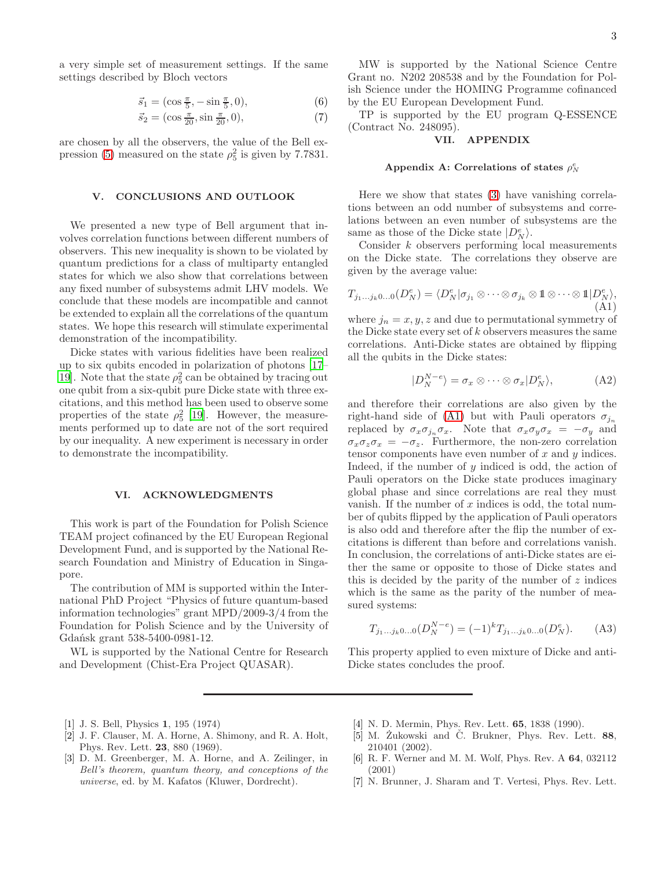$$
\vec{s}_1 = (\cos \frac{\pi}{5}, -\sin \frac{\pi}{5}, 0), \tag{6}
$$

$$
\vec{s}_2 = (\cos \frac{\pi}{20}, \sin \frac{\pi}{20}, 0),\tag{7}
$$

are chosen by all the observers, the value of the Bell ex-pression [\(5\)](#page-1-1) measured on the state  $\rho_5^2$  is given by 7.7831.

#### **V. CONCLUSIONS AND OUTLOOK**

We presented a new type of Bell argument that involves correlation functions between different numbers of observers. This new inequality is shown to be violated by quantum predictions for a class of multiparty entangled states for which we also show that correlations between any fixed number of subsystems admit LHV models. We conclude that these models are incompatible and cannot be extended to explain all the correlations of the quantum states. We hope this research will stimulate experimental demonstration of the incompatibility.

Dicke states with various fidelities have been realized up to six qubits encoded in polarization of photons [\[17](#page-3-6)– 19. Note that the state  $\rho_5^2$  can be obtained by tracing out one qubit from a six-qubit pure Dicke state with three excitations, and this method has been used to observe some properties of the state  $\rho_5^2$  [\[19\]](#page-3-7). However, the measurements performed up to date are not of the sort required by our inequality. A new experiment is necessary in order to demonstrate the incompatibility.

#### **VI. ACKNOWLEDGMENTS**

This work is part of the Foundation for Polish Science TEAM project cofinanced by the EU European Regional Development Fund, and is supported by the National Research Foundation and Ministry of Education in Singapore.

The contribution of MM is supported within the International PhD Project "Physics of future quantum-based information technologies" grant MPD/2009-3/4 from the Foundation for Polish Science and by the University of Gdańsk grant 538-5400-0981-12.

WL is supported by the National Centre for Research and Development (Chist-Era Project QUASAR).

3

MW is supported by the National Science Centre Grant no. N202 208538 and by the Foundation for Polish Science under the HOMING Programme cofinanced by the EU European Development Fund.

TP is supported by the EU program Q-ESSENCE (Contract No. 248095).

# **VII. APPENDIX**

# Appendix A: Correlations of states  $\rho_N^e$

Here we show that states [\(3\)](#page-0-0) have vanishing correlations between an odd number of subsystems and correlations between an even number of subsystems are the same as those of the Dicke state  $|D_N^e\rangle$ .

Consider k observers performing local measurements on the Dicke state. The correlations they observe are given by the average value:

<span id="page-2-6"></span>
$$
T_{j_1...j_k0...0}(D_N^e) = \langle D_N^e | \sigma_{j_1} \otimes \cdots \otimes \sigma_{j_k} \otimes \mathbb{1} \otimes \cdots \otimes \mathbb{1} | D_N^e \rangle,
$$
\n(A1)

where  $j_n = x, y, z$  and due to permutational symmetry of the Dicke state every set of  $k$  observers measures the same correlations. Anti-Dicke states are obtained by flipping all the qubits in the Dicke states:

$$
|D_N^{N-e}\rangle = \sigma_x \otimes \cdots \otimes \sigma_x |D_N^e\rangle, \tag{A2}
$$

and therefore their correlations are also given by the right-hand side of [\(A1\)](#page-2-6) but with Pauli operators  $\sigma_{i_n}$ replaced by  $\sigma_x \sigma_{j_n} \sigma_x$ . Note that  $\sigma_x \sigma_y \sigma_x = -\sigma_y$  and  $\sigma_x \sigma_z \sigma_x = -\sigma_z$ . Furthermore, the non-zero correlation tensor components have even number of  $x$  and  $y$  indices. Indeed, if the number of  $y$  indiced is odd, the action of Pauli operators on the Dicke state produces imaginary global phase and since correlations are real they must vanish. If the number of  $x$  indices is odd, the total number of qubits flipped by the application of Pauli operators is also odd and therefore after the flip the number of excitations is different than before and correlations vanish. In conclusion, the correlations of anti-Dicke states are either the same or opposite to those of Dicke states and this is decided by the parity of the number of  $z$  indices which is the same as the parity of the number of measured systems:

$$
T_{j_1...j_k0...0}(D_N^{N-e}) = (-1)^k T_{j_1...j_k0...0}(D_N^e). \tag{A3}
$$

This property applied to even mixture of Dicke and anti-Dicke states concludes the proof.

- <span id="page-2-0"></span>[1] J. S. Bell, Physics **1**, 195 (1974)
- <span id="page-2-1"></span>[2] J. F. Clauser, M. A. Horne, A. Shimony, and R. A. Holt, Phys. Rev. Lett. **23**, 880 (1969).
- <span id="page-2-2"></span>[3] D. M. Greenberger, M. A. Horne, and A. Zeilinger, in *Bell's theorem, quantum theory, and conceptions of the universe*, ed. by M. Kafatos (Kluwer, Dordrecht).
- [4] N. D. Mermin, Phys. Rev. Lett. **65**, 1838 (1990).
- <span id="page-2-5"></span>[5] M. Żukowski and Č. Brukner, Phys. Rev. Lett. 88, 210401 (2002).
- <span id="page-2-3"></span>[6] R. F. Werner and M. M. Wolf, Phys. Rev. A **64**, 032112 (2001)
- <span id="page-2-4"></span>[7] N. Brunner, J. Sharam and T. Vertesi, Phys. Rev. Lett.